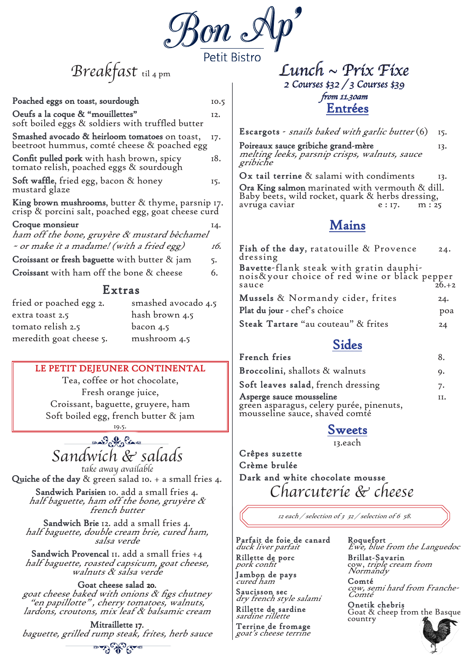

Breakfast til 4 pm

| Poached eggs on toast, sourdough                                                                         |                     | 10.5          |                                   |
|----------------------------------------------------------------------------------------------------------|---------------------|---------------|-----------------------------------|
| Oeufs a la coque & "mouillettes"<br>soft boiled eggs & soldiers with truffled butter                     |                     | 12.           |                                   |
| Smashed avocado & heirloom tomatoes on toast,<br>beetroot hummus, comté cheese & poached egg             |                     | 17.           | E<br>P                            |
| <b>Confit pulled pork</b> with hash brown, spicy<br>tomato relish, poached eggs & sourdough              |                     | 18.           | $\boldsymbol{I}$<br>$\mathscr{E}$ |
| Soft waffle, fried egg, bacon & honey<br>mustard glaze                                                   |                     | 15.           | C<br><b>C</b><br>B                |
| King brown mushrooms, butter & thyme, parsnip 17.<br>crisp & porcini salt, poached egg, goat cheese curd |                     |               | a                                 |
| Croque monsieur<br>ham off the bone, gruyère & mustard bèchamel                                          |                     | 14.           |                                   |
| ~ or make it a madame! (with a fried egg)                                                                |                     | 16.           | $\frac{\text{F}}{\text{d}}$       |
| Croissant or fresh baguette with butter & jam                                                            |                     | 5.            |                                   |
| <b>Croissant</b> with ham off the bone & cheese                                                          |                     | 6.            | B<br>n                            |
| S<br>Extras                                                                                              |                     |               |                                   |
| fried or poached egg 2.                                                                                  | smashed avocado 4.5 |               | N                                 |
| extra toast 2.5                                                                                          | hash brown 4.5      |               | P                                 |
| tomato relish 2.5                                                                                        | bacon 4.5           |               | S                                 |
| meredith goat cheese 5.                                                                                  | mushroom 4.5        |               |                                   |
| LE PETIT DEJEUNER CONTINENTAL                                                                            |                     | F<br>$\bf{B}$ |                                   |
| Tea, coffee or hot chocolate,                                                                            |                     |               | S                                 |
| Fresh orange juice,                                                                                      |                     |               | $\boldsymbol{A}$                  |
| Croissant, baguette, gruyere, ham                                                                        |                     |               | g<br>n                            |
| Soft boiled egg, french butter & jam                                                                     |                     |               |                                   |
|                                                                                                          |                     |               |                                   |
| en Batt Cano                                                                                             |                     |               |                                   |

**Ora King salmon** marinated with vermouth & dill. Baby beets, wild rocket, quark & herbs dressing, avruga caviar  $e: 17.$  m :  $25$ 

**Escargots** - snails baked with garlic butter (6) 15.

**Poireaux sauce gribiche grand-mère** 13. melting leeks, parsnip crisps, walnuts, sauce gribiche

**Dx tail terrine** & salami with condiments 13.

**Goat cheese salad 20.**<br>*goat cheese baked with onions & figs chutney* "en papillotte", cherry tomatoes, walnuts, lardons, croutons, mix leaf & balsamic cream

**Parfait de foie de canard** duck liver parfait **Rillette de porc** pork confit

### **Mains**

**Brillat-Savarin** cow, *triple cream from*<br>N*ormandy* 

| Fish of the day, ratatouille & Provence<br>dressing                                              | 24. |
|--------------------------------------------------------------------------------------------------|-----|
| Bavette-flank steak with gratin dauphi-<br>nois&your choice of red wine or black pepper<br>26.+2 |     |
| Mussels & Normandy cider, frites                                                                 | 24. |
| Plat du jour - chef's choice                                                                     | poa |
| Steak Tartare "au couteau" & frites                                                              | 24  |

**Entrées** Lunch ~ Prix Fixe 2 Courses \$32 / 3 Courses \$39 from 11.30am

### **Sides**

| French fries                                                                                                  | 8.  |
|---------------------------------------------------------------------------------------------------------------|-----|
| Broccolini, shallots & walnuts                                                                                | 9.  |
| Soft leaves salad, french dressing                                                                            | 7.  |
| <b>Asperge sauce mousseline</b><br>green asparagus, celery purée, pinenuts,<br>mousseline sauce, shaved comté | II. |

### **Sweets**

13.each

take away available **Quiche of the day** & green salad 10. + a small fries 4. **Sandwich Parisien** 10. add a small fries 4. half baguette, ham off the bone, gruyère & french butter

Sandwich & salads

**Sandwich Brie** 12. add a small fries 4. half baguette, double cream brie, cured ham, salsa verde

**Sandwich Provencal** 11. add a small fries +4 half baguette, roasted capsicum, goat cheese, walnuts & salsa verde **Crêpes suzette Crème brulée Dark and white chocolate mousse** Charcuterie & cheese

**Mitraillette 17.** baguette, grilled rump steak, frites, herb sauce

عدمتى ومجالوج وعمدها

12 each / selection of 3 32 / selection of 6 58.

**Jambon de pays** cured ham

**Saucisson sec** dry french style salami **Rillette de sardine** sardine rillette

**Terrine de fromage** goat's cheese terrine

**Roquefort** Ewe, blue from the Languedoc

**Comté** cow, semi hard from Franche-Comté

**Onetik chebris** Goat & cheep from the Basque country